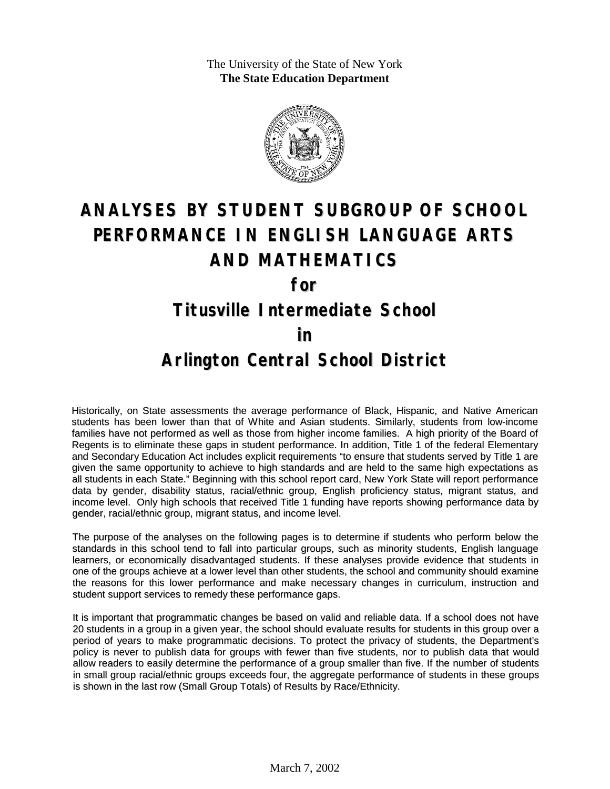The University of the State of New York **The State Education Department**



# **ANALYSES BY STUDENT SUBGROUP OF SCHOOL PERFORMANCE IN ENGLISH LANGUAGE ARTS AND MATHEMATICS**

**for**

#### **Titusville Intermediate School**

#### **in**

### **Arlington Central School District**

Historically, on State assessments the average performance of Black, Hispanic, and Native American students has been lower than that of White and Asian students. Similarly, students from low-income families have not performed as well as those from higher income families. A high priority of the Board of Regents is to eliminate these gaps in student performance. In addition, Title 1 of the federal Elementary and Secondary Education Act includes explicit requirements "to ensure that students served by Title 1 are given the same opportunity to achieve to high standards and are held to the same high expectations as all students in each State." Beginning with this school report card, New York State will report performance data by gender, disability status, racial/ethnic group, English proficiency status, migrant status, and income level. Only high schools that received Title 1 funding have reports showing performance data by gender, racial/ethnic group, migrant status, and income level.

The purpose of the analyses on the following pages is to determine if students who perform below the standards in this school tend to fall into particular groups, such as minority students, English language learners, or economically disadvantaged students. If these analyses provide evidence that students in one of the groups achieve at a lower level than other students, the school and community should examine the reasons for this lower performance and make necessary changes in curriculum, instruction and student support services to remedy these performance gaps.

It is important that programmatic changes be based on valid and reliable data. If a school does not have 20 students in a group in a given year, the school should evaluate results for students in this group over a period of years to make programmatic decisions. To protect the privacy of students, the Department's policy is never to publish data for groups with fewer than five students, nor to publish data that would allow readers to easily determine the performance of a group smaller than five. If the number of students in small group racial/ethnic groups exceeds four, the aggregate performance of students in these groups is shown in the last row (Small Group Totals) of Results by Race/Ethnicity.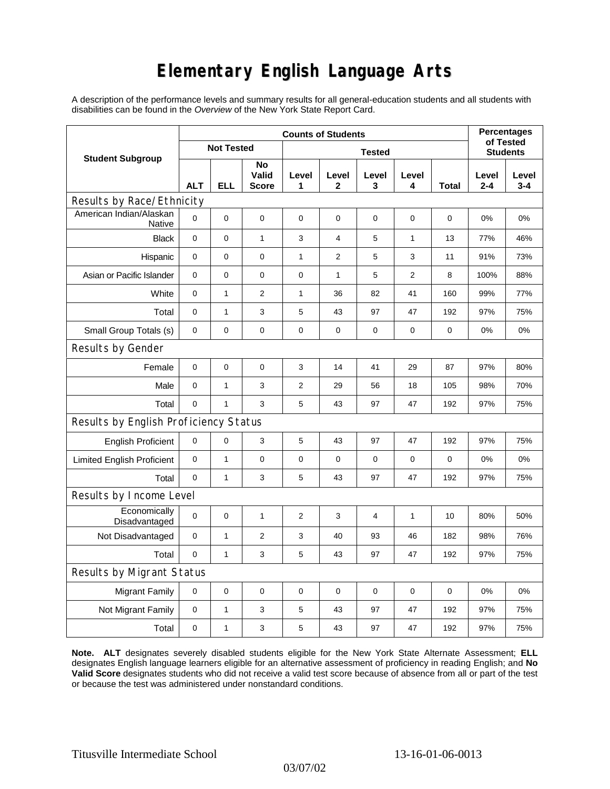# **Elementary English Language Arts**

A description of the performance levels and summary results for all general-education students and all students with disabilities can be found in the *Overview* of the New York State Report Card.

|                                          | <b>Counts of Students</b> |              |                      |                |                  |                |              |       | <b>Percentages</b>           |                  |
|------------------------------------------|---------------------------|--------------|----------------------|----------------|------------------|----------------|--------------|-------|------------------------------|------------------|
| <b>Student Subgroup</b>                  | <b>Not Tested</b>         |              |                      | <b>Tested</b>  |                  |                |              |       | of Tested<br><b>Students</b> |                  |
|                                          | <b>ALT</b>                | <b>ELL</b>   | No<br>Valid<br>Score | Level<br>1     | Level<br>2       | Level<br>3     | Level<br>4   | Total | Level<br>$2 - 4$             | Level<br>$3 - 4$ |
| Results by Race/Ethnicity                |                           |              |                      |                |                  |                |              |       |                              |                  |
| American Indian/Alaskan<br><b>Native</b> | 0                         | 0            | 0                    | $\pmb{0}$      | 0                | 0              | 0            | 0     | 0%                           | 0%               |
| <b>Black</b>                             | 0                         | $\pmb{0}$    | $\mathbf{1}$         | 3              | $\overline{4}$   | 5              | 1            | 13    | 77%                          | 46%              |
| Hispanic                                 | 0                         | 0            | 0                    | 1              | $\boldsymbol{2}$ | 5              | 3            | 11    | 91%                          | 73%              |
| Asian or Pacific Islander                | 0                         | 0            | $\pmb{0}$            | 0              | 1                | 5              | 2            | 8     | 100%                         | 88%              |
| White                                    | $\mathbf 0$               | $\mathbf{1}$ | $\mathbf{2}$         | $\mathbf{1}$   | 36               | 82             | 41           | 160   | 99%                          | 77%              |
| Total                                    | $\mathbf 0$               | $\mathbf{1}$ | 3                    | 5              | 43               | 97             | 47           | 192   | 97%                          | 75%              |
| Small Group Totals (s)                   | 0                         | 0            | 0                    | 0              | 0                | 0              | 0            | 0     | 0%                           | 0%               |
| Results by Gender                        |                           |              |                      |                |                  |                |              |       |                              |                  |
| Female                                   | $\pmb{0}$                 | 0            | $\mathbf 0$          | 3              | 14               | 41             | 29           | 87    | 97%                          | 80%              |
| Male                                     | 0                         | $\mathbf{1}$ | 3                    | $\overline{2}$ | 29               | 56             | 18           | 105   | 98%                          | 70%              |
| Total                                    | 0                         | $\mathbf{1}$ | 3                    | 5              | 43               | 97             | 47           | 192   | 97%                          | 75%              |
| Results by English Proficiency Status    |                           |              |                      |                |                  |                |              |       |                              |                  |
| <b>English Proficient</b>                | 0                         | 0            | 3                    | $\mathbf 5$    | 43               | 97             | 47           | 192   | 97%                          | 75%              |
| <b>Limited English Proficient</b>        | 0                         | $\mathbf{1}$ | $\mathbf 0$          | $\pmb{0}$      | $\mathbf 0$      | 0              | 0            | 0     | 0%                           | 0%               |
| Total                                    | 0                         | $\mathbf{1}$ | 3                    | 5              | 43               | 97             | 47           | 192   | 97%                          | 75%              |
| Results by Income Level                  |                           |              |                      |                |                  |                |              |       |                              |                  |
| Economically<br>Disadvantaged            | 0                         | 0            | $\mathbf{1}$         | $\overline{c}$ | 3                | $\overline{4}$ | $\mathbf{1}$ | 10    | 80%                          | 50%              |
| Not Disadvantaged                        | $\mathbf 0$               | $\mathbf{1}$ | 2                    | 3              | 40               | 93             | 46           | 182   | 98%                          | 76%              |
| Total                                    | $\mathbf 0$               | $\mathbf{1}$ | 3                    | 5              | 43               | 97             | 47           | 192   | 97%                          | 75%              |
| Results by Migrant Status                |                           |              |                      |                |                  |                |              |       |                              |                  |
| <b>Migrant Family</b>                    | 0                         | 0            | 0                    | $\pmb{0}$      | 0                | 0              | $\mathbf 0$  | 0     | 0%                           | 0%               |
| Not Migrant Family                       | 0                         | $\mathbf{1}$ | 3                    | 5              | 43               | 97             | 47           | 192   | 97%                          | 75%              |
| Total                                    | 0                         | $\mathbf{1}$ | 3                    | 5              | 43               | 97             | 47           | 192   | 97%                          | 75%              |

**Note. ALT** designates severely disabled students eligible for the New York State Alternate Assessment; **ELL** designates English language learners eligible for an alternative assessment of proficiency in reading English; and **No Valid Score** designates students who did not receive a valid test score because of absence from all or part of the test or because the test was administered under nonstandard conditions.